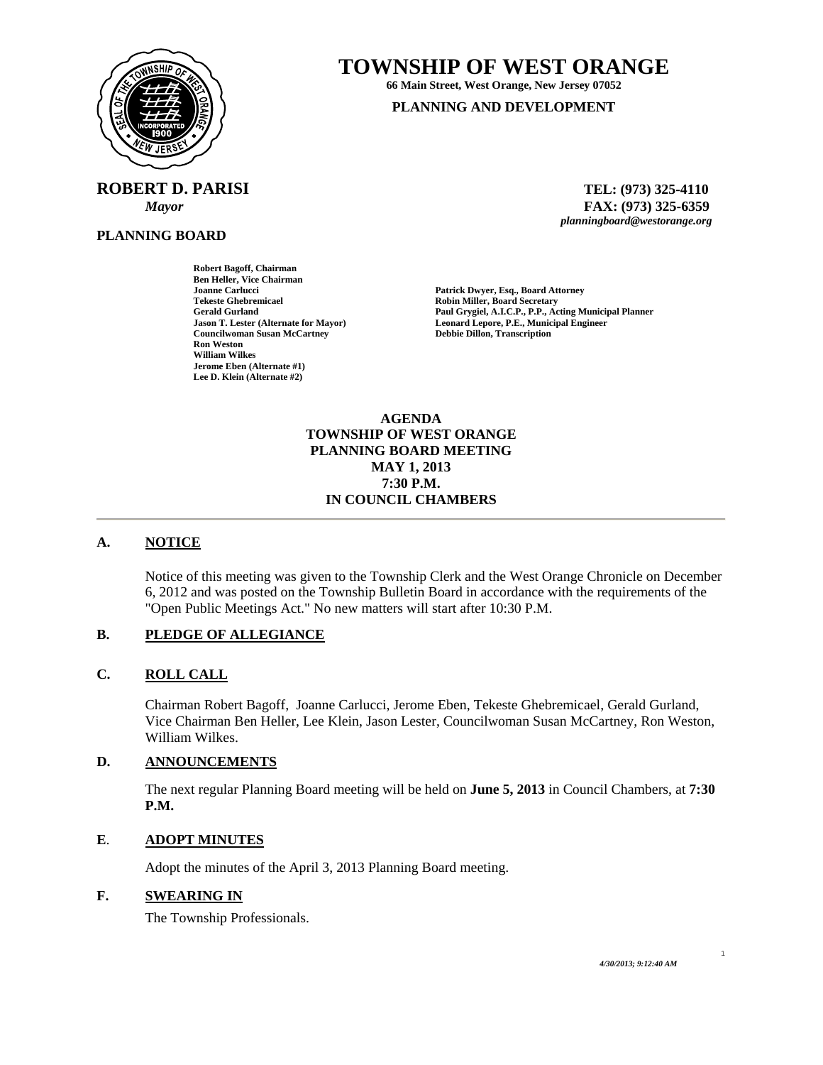

**ROBERT D. PARISI TEL: (973) 325-4110** 

**Robert Bagoff, Chairman Ben Heller, Vice Chairman** 

**Ron Weston William Wilkes** 

**Councilwoman Susan McCartney** 

**Jerome Eben (Alternate #1) Lee D. Klein (Alternate #2)** 

**PLANNING BOARD**

**TOWNSHIP OF WEST ORANGE** 

**66 Main Street, West Orange, New Jersey 07052 PLANNING AND DEVELOPMENT**

 *Mayor* **FAX: (973) 325-6359** *planningboard@westorange.org* 

**Joanne Carlucci Patrick Dwyer, Esq., Board Attorney Tekeste Ghebremicael Robin Miller, Board Secretary**  Gerald Gurland **Paul Grygiel, A.I.C.P., P.P., Acting Municipal Planner**<br> **Paul Grygiel, A.I.C.P., P.P., Acting Municipal Planner**<br> **Paul Grygiel, A.I.C.P., P.P., Acting Municipal Planner Leonard Lepore, P.E., Municipal Engineer Debbie Dillon, Transcription** 

> **AGENDA TOWNSHIP OF WEST ORANGE PLANNING BOARD MEETING MAY 1, 2013 7:30 P.M. IN COUNCIL CHAMBERS**

## **A. NOTICE**

Notice of this meeting was given to the Township Clerk and the West Orange Chronicle on December 6, 2012 and was posted on the Township Bulletin Board in accordance with the requirements of the "Open Public Meetings Act." No new matters will start after 10:30 P.M.

### **B. PLEDGE OF ALLEGIANCE**

# **C. ROLL CALL**

Chairman Robert Bagoff, Joanne Carlucci, Jerome Eben, Tekeste Ghebremicael, Gerald Gurland, Vice Chairman Ben Heller, Lee Klein, Jason Lester, Councilwoman Susan McCartney, Ron Weston, William Wilkes.

## **D. ANNOUNCEMENTS**

The next regular Planning Board meeting will be held on **June 5, 2013** in Council Chambers, at **7:30 P.M.** 

### **E**. **ADOPT MINUTES**

Adopt the minutes of the April 3, 2013 Planning Board meeting.

## **F. SWEARING IN**

The Township Professionals.